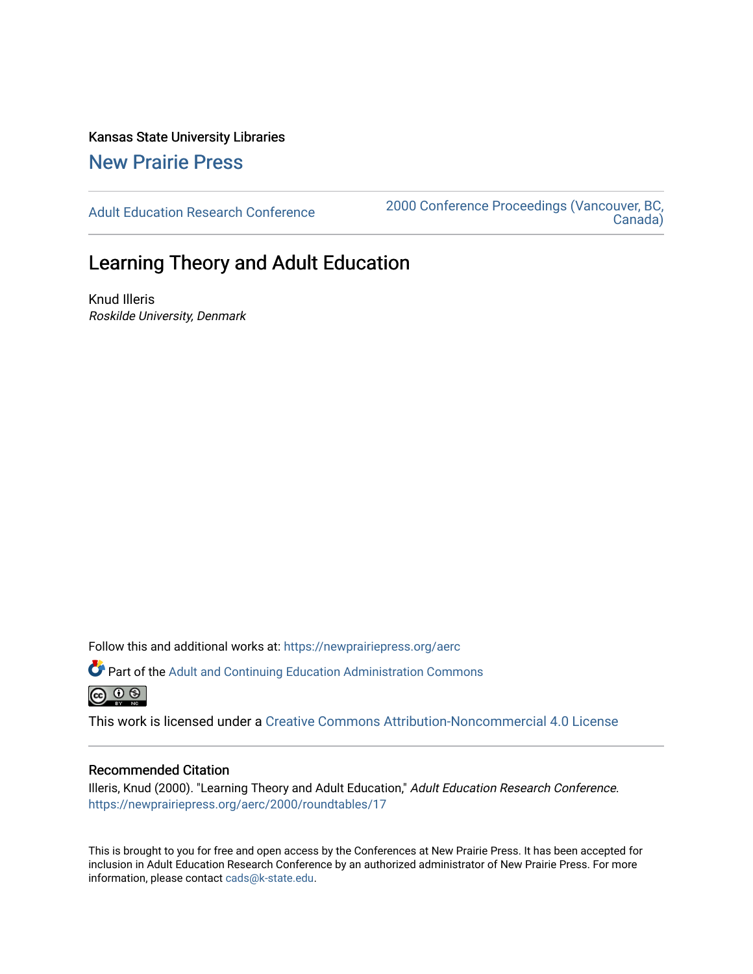Kansas State University Libraries [New Prairie Press](https://newprairiepress.org/) 

[Adult Education Research Conference](https://newprairiepress.org/aerc) [2000 Conference Proceedings \(Vancouver, BC,](https://newprairiepress.org/aerc/2000)  [Canada\)](https://newprairiepress.org/aerc/2000) 

# Learning Theory and Adult Education

Knud Illeris Roskilde University, Denmark

Follow this and additional works at: [https://newprairiepress.org/aerc](https://newprairiepress.org/aerc?utm_source=newprairiepress.org%2Faerc%2F2000%2Froundtables%2F17&utm_medium=PDF&utm_campaign=PDFCoverPages)

Part of the [Adult and Continuing Education Administration Commons](http://network.bepress.com/hgg/discipline/789?utm_source=newprairiepress.org%2Faerc%2F2000%2Froundtables%2F17&utm_medium=PDF&utm_campaign=PDFCoverPages) 

This work is licensed under a [Creative Commons Attribution-Noncommercial 4.0 License](https://creativecommons.org/licenses/by-nc/4.0/)

## Recommended Citation

Illeris, Knud (2000). "Learning Theory and Adult Education," Adult Education Research Conference. <https://newprairiepress.org/aerc/2000/roundtables/17>

This is brought to you for free and open access by the Conferences at New Prairie Press. It has been accepted for inclusion in Adult Education Research Conference by an authorized administrator of New Prairie Press. For more information, please contact [cads@k-state.edu](mailto:cads@k-state.edu).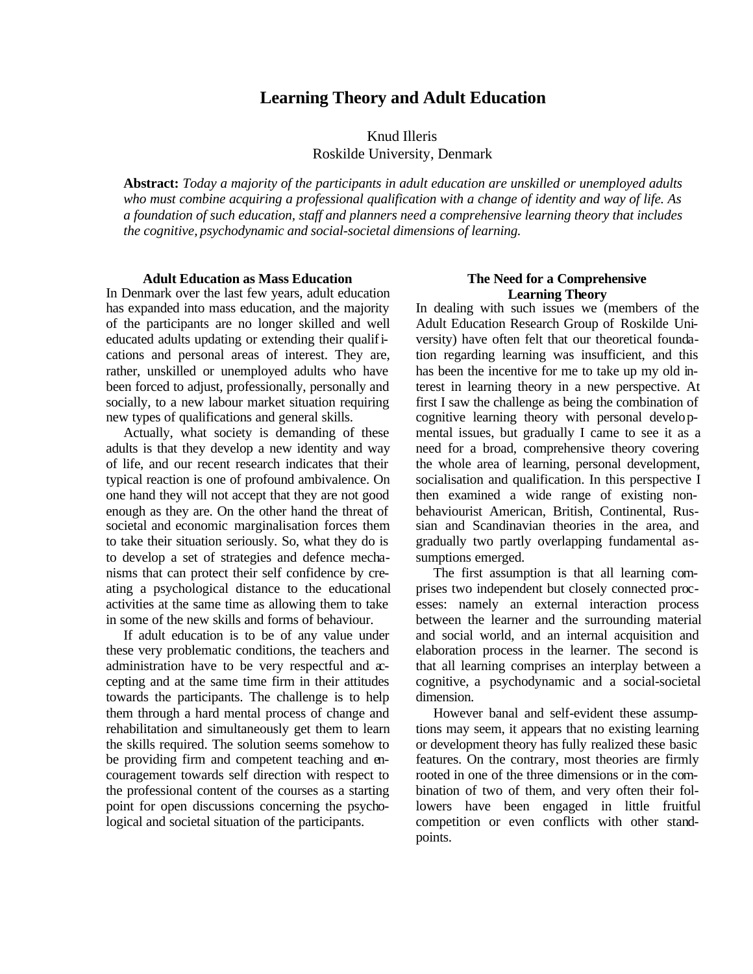## **Learning Theory and Adult Education**

## Knud Illeris Roskilde University, Denmark

**Abstract:** *Today a majority of the participants in adult education are unskilled or unemployed adults who must combine acquiring a professional qualification with a change of identity and way of life. As a foundation of such education, staff and planners need a comprehensive learning theory that includes the cognitive, psychodynamic and social-societal dimensions of learning.*

### **Adult Education as Mass Education**

In Denmark over the last few years, adult education has expanded into mass education, and the majority of the participants are no longer skilled and well educated adults updating or extending their qualifications and personal areas of interest. They are, rather, unskilled or unemployed adults who have been forced to adjust, professionally, personally and socially, to a new labour market situation requiring new types of qualifications and general skills.

Actually, what society is demanding of these adults is that they develop a new identity and way of life, and our recent research indicates that their typical reaction is one of profound ambivalence. On one hand they will not accept that they are not good enough as they are. On the other hand the threat of societal and economic marginalisation forces them to take their situation seriously. So, what they do is to develop a set of strategies and defence mechanisms that can protect their self confidence by creating a psychological distance to the educational activities at the same time as allowing them to take in some of the new skills and forms of behaviour.

If adult education is to be of any value under these very problematic conditions, the teachers and administration have to be very respectful and accepting and at the same time firm in their attitudes towards the participants. The challenge is to help them through a hard mental process of change and rehabilitation and simultaneously get them to learn the skills required. The solution seems somehow to be providing firm and competent teaching and encouragement towards self direction with respect to the professional content of the courses as a starting point for open discussions concerning the psychological and societal situation of the participants.

#### **The Need for a Comprehensive Learning Theory**

In dealing with such issues we (members of the Adult Education Research Group of Roskilde University) have often felt that our theoretical foundation regarding learning was insufficient, and this has been the incentive for me to take up my old interest in learning theory in a new perspective. At first I saw the challenge as being the combination of cognitive learning theory with personal developmental issues, but gradually I came to see it as a need for a broad, comprehensive theory covering the whole area of learning, personal development, socialisation and qualification. In this perspective I then examined a wide range of existing nonbehaviourist American, British, Continental, Russian and Scandinavian theories in the area, and gradually two partly overlapping fundamental assumptions emerged.

The first assumption is that all learning comprises two independent but closely connected processes: namely an external interaction process between the learner and the surrounding material and social world, and an internal acquisition and elaboration process in the learner. The second is that all learning comprises an interplay between a cognitive, a psychodynamic and a social-societal dimension.

However banal and self-evident these assumptions may seem, it appears that no existing learning or development theory has fully realized these basic features. On the contrary, most theories are firmly rooted in one of the three dimensions or in the combination of two of them, and very often their followers have been engaged in little fruitful competition or even conflicts with other standpoints.